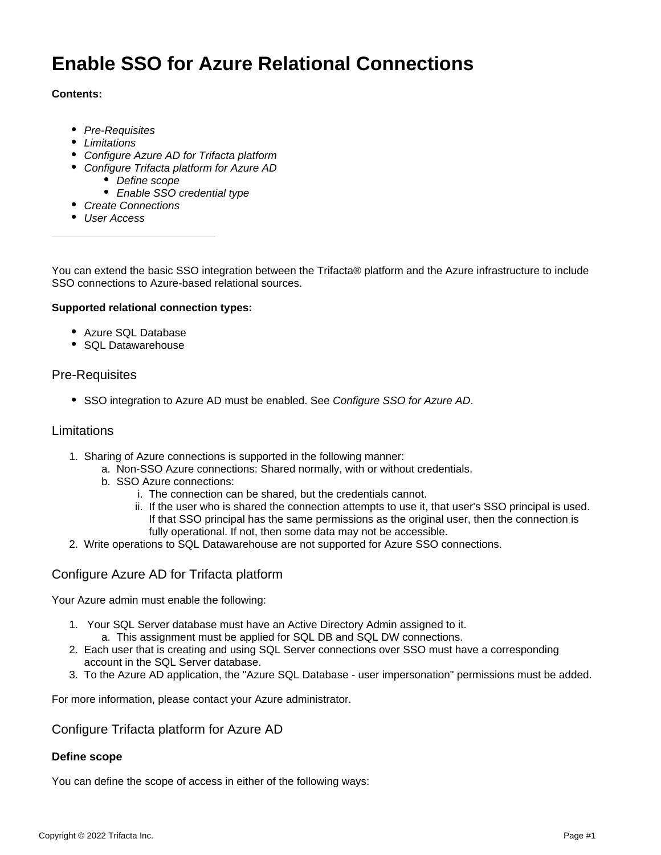# **Enable SSO for Azure Relational Connections**

# **Contents:**

- [Pre-Requisites](#page-0-0)
- [Limitations](#page-0-1)
- [Configure Azure AD for Trifacta platform](#page-0-2)
- [Configure Trifacta platform for Azure AD](#page-0-3)
	- [Define scope](#page-0-4)
	- [Enable SSO credential type](#page-1-0)
- [Create Connections](#page-1-1)
- [User Access](#page-2-0)

You can extend the basic SSO integration between the Trifacta® platform and the Azure infrastructure to include SSO connections to Azure-based relational sources.

### **Supported relational connection types:**

- Azure SQL Database
- SQL Datawarehouse

# <span id="page-0-0"></span>Pre-Requisites

• SSO integration to Azure AD must be enabled. See [Configure SSO for Azure AD](https://docs.trifacta.com/display/r082/Configure+SSO+for+Azure+AD).

## <span id="page-0-1"></span>Limitations

- 1. Sharing of Azure connections is supported in the following manner:
	- a. Non-SSO Azure connections: Shared normally, with or without credentials.
	- b. SSO Azure connections:
		- i. The connection can be shared, but the credentials cannot.
		- ii. If the user who is shared the connection attempts to use it, that user's SSO principal is used. If that SSO principal has the same permissions as the original user, then the connection is fully operational. If not, then some data may not be accessible.
- 2. Write operations to SQL Datawarehouse are not supported for Azure SSO connections.

# <span id="page-0-2"></span>Configure Azure AD for Trifacta platform

Your Azure admin must enable the following:

- 1. Your SQL Server database must have an Active Directory Admin assigned to it.
	- a. This assignment must be applied for SQL DB and SQL DW connections.
- 2. Each user that is creating and using SQL Server connections over SSO must have a corresponding account in the SQL Server database.
- 3. To the Azure AD application, the "Azure SQL Database user impersonation" permissions must be added.

For more information, please contact your Azure administrator.

# <span id="page-0-3"></span>Configure Trifacta platform for Azure AD

# <span id="page-0-4"></span>**Define scope**

You can define the scope of access in either of the following ways: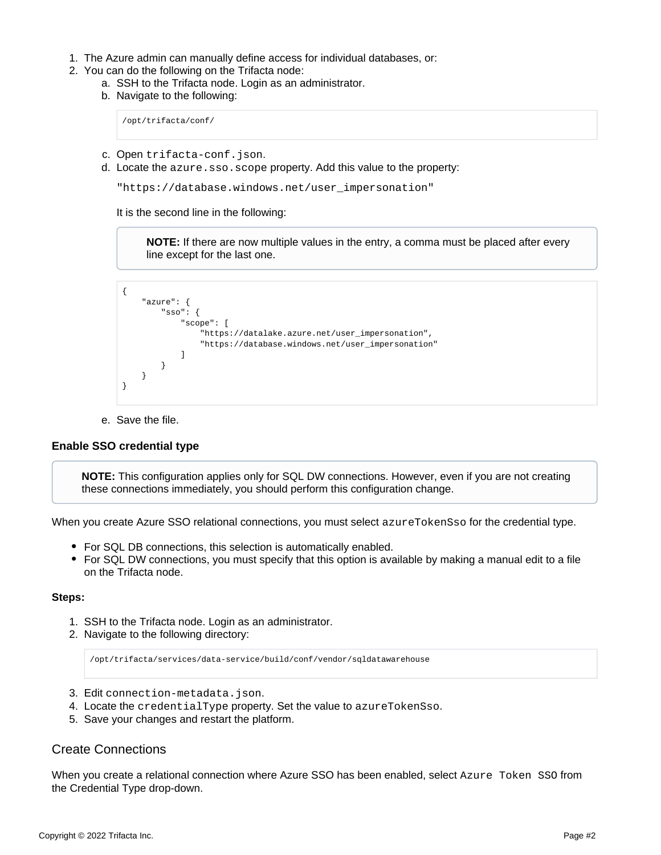- 1. The Azure admin can manually define access for individual databases, or:
- 2. You can do the following on the Trifacta node:
	- a. SSH to the Trifacta node. Login as an administrator.
		- b. Navigate to the following:

/opt/trifacta/conf/

- c. Open trifacta-conf.json.
- d. Locate the azure.sso.scope property. Add this value to the property:

"https://database.windows.net/user\_impersonation"

It is the second line in the following:

**NOTE:** If there are now multiple values in the entry, a comma must be placed after every line except for the last one.

```
{
     "azure": {
         "sso": {
             "scope": [
                 "https://datalake.azure.net/user_impersonation",
                 "https://database.windows.net/user_impersonation"
 ]
         }
     }
}
```
e. Save the file.

#### <span id="page-1-0"></span>**Enable SSO credential type**

**NOTE:** This configuration applies only for SQL DW connections. However, even if you are not creating these connections immediately, you should perform this configuration change.

When you create Azure SSO relational connections, you must select azureTokenSso for the credential type.

- For SQL DB connections, this selection is automatically enabled.
- For SQL DW connections, you must specify that this option is available by making a manual edit to a file on the Trifacta node.

#### **Steps:**

- 1. SSH to the Trifacta node. Login as an administrator.
- 2. Navigate to the following directory:

/opt/trifacta/services/data-service/build/conf/vendor/sqldatawarehouse

- 3. Edit connection-metadata.json.
- 4. Locate the credentialType property. Set the value to azureTokenSso.
- 5. Save your changes and restart the platform.

# <span id="page-1-1"></span>Create Connections

When you create a relational connection where Azure SSO has been enabled, select Azure Token SSO from the Credential Type drop-down.